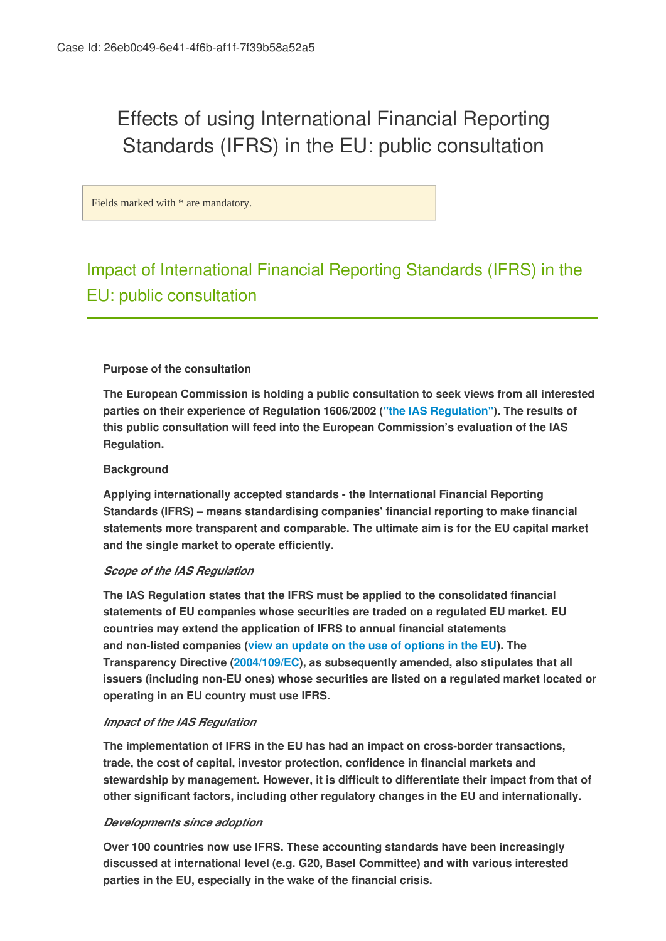# Effects of using International Financial Reporting Standards (IFRS) in the EU: public consultation

Fields marked with \* are mandatory.

# Impact of International Financial Reporting Standards (IFRS) in the EU: public consultation

#### **Purpose of the consultation**

**The European Commission is holding a public consultation to seek views from all interested parties on their experience of Regulation 1606/2002 (["the IAS Regulation"](http://eur-lex.europa.eu/legal-content/EN/TXT/?qid=1406622632422&uri=CELEX:02002R1606-20080410)). The results of this public consultation will feed into the European Commission's evaluation of the IAS Regulation.**

#### **Background**

**Applying internationally accepted standards - the International Financial Reporting Standards (IFRS) – means standardising companies' financial reporting to make financial statements more transparent and comparable. The ultimate aim is for the EU capital market and the single market to operate efficiently.**

#### *Scope of the IAS Regulation*

**The IAS Regulation states that the IFRS must be applied to the consolidated financial statements of EU companies whose securities are traded on a regulated EU market. EU countries may extend the application of IFRS to annual financial statements and non-listed companies (view an update on the use of options in the EU). The Transparency Directive (2004/109/EC), as subsequently amended, also stipulates that all issuers (including non-EU ones) whose securities are listed on a regulated market located or operating in an EU country must use IFRS.**

#### *Impact of the IAS Regulation*

**The implementation of IFRS in the EU has had an impact on cross-border transactions, trade, the cost of capital, investor protection, confidence in financial markets and stewardship by management. However, it is difficult to differentiate their impact from that of other significant factors, including other regulatory changes in the EU and internationally.**

#### *Developments since adoption*

**Over 100 countries now use IFRS. These accounting standards have been increasingly discussed at international level (e.g. G20, Basel Committee) and with various interested parties in the EU, especially in the wake of the financial crisis.**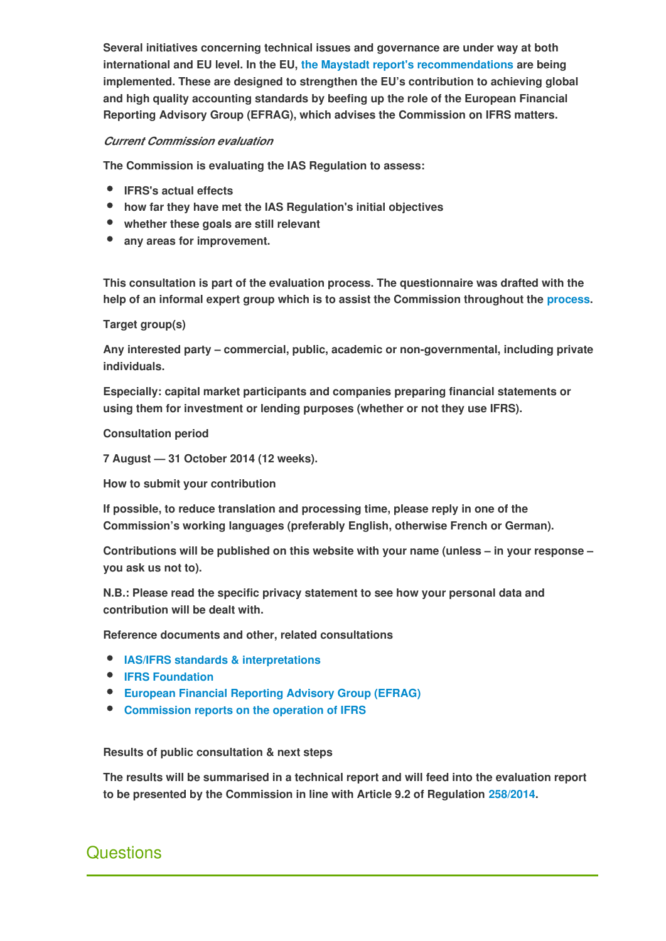**Several initiatives concerning technical issues and governance are under way at both international and EU level. In the EU, the Maystadt report's recommendations are being implemented. These are designed to strengthen the EU's contribution to achieving global and high quality accounting standards by beefing up the role of the European Financial Reporting Advisory Group (EFRAG), which advises the Commission on IFRS matters.**

### *Current Commission evaluation*

**The Commission is evaluating the IAS Regulation to assess:**

- **IFRS's actual effects**
- **how far they have met the IAS Regulation's initial objectives**
- **whether these goals are still relevant**
- **any areas for improvement.**

**This consultation is part of the evaluation process. The questionnaire was drafted with the help of an informal expert group which is to assist the Commission throughout the process.**

**Target group(s)**

**Any interested party – commercial, public, academic or non-governmental, including private individuals.**

**Especially: capital market participants and companies preparing financial statements or using them for investment or lending purposes (whether or not they use IFRS).**

#### **Consultation period**

**7 August — 31 October 2014 (12 weeks).**

**How to submit your contribution**

**If possible, to reduce translation and processing time, please reply in one of the Commission's working languages (preferably English, otherwise French or German).**

**Contributions will be published on this website with your name (unless – in your response – you ask us not to).**

**N.B.: Please read the specific privacy statement to see how your personal data and contribution will be dealt with.**

**Reference documents and other, related consultations**

- **IAS/IFRS standards & interpretations**
- **[IFRS Foundation](http://www.ifrs.org/Pages/default.aspx)**
- **[European Financial Reporting Advisory Group \(EFRAG\)](http://www.efrag.org/Front/Home.aspx)**
- **Commission reports on the operation of IFRS**

#### **Results of public consultation & next steps**

**The results will be summarised in a technical report and will feed into the evaluation report to be presented by the Commission in line with Article 9.2 of Regulation [258/2014.](http://eur-lex.europa.eu/legal-content/EN/TXT/?uri=uriserv:OJ.L_.2014.105.01.0001.01.ENG)** 

# **Questions**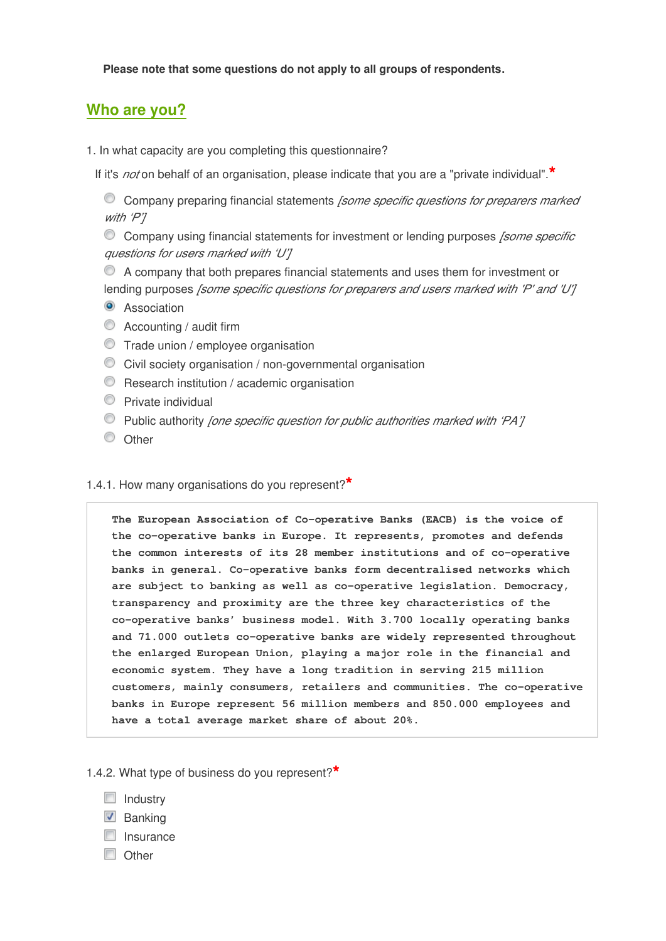**Please note that some questions do not apply to all groups of respondents.**

# **Who are you?**

- 1. In what capacity are you completing this questionnaire?
	- If it's *not* on behalf of an organisation, please indicate that you are a "private individual".**\***

Company preparing financial statements *[some specific questions for preparers marked with 'P']*

Company using financial statements for investment or lending purposes *[some specific questions for users marked with 'U']*

- A company that both prepares financial statements and uses them for investment or lending purposes *[some specific questions for preparers and users marked with 'P' and 'U']*
- **O** Association
- Accounting / audit firm
- **Trade union / employee organisation**
- Civil society organisation / non-governmental organisation
- **C** Research institution / academic organisation
- **Private individual**
- Public authority *[one specific question for public authorities marked with 'PA']*
- C Other

### 1.4.1. How many organisations do you represent?**\***

**The European Association of Co-operative Banks (EACB) is the voice of the co-operative banks in Europe. It represents, promotes and defends the common interests of its 28 member institutions and of co-operative banks in general. Co-operative banks form decentralised networks which are subject to banking as well as co-operative legislation. Democracy, transparency and proximity are the three key characteristics of the co-operative banks' business model. With 3.700 locally operating banks and 71.000 outlets co-operative banks are widely represented throughout the enlarged European Union, playing a major role in the financial and economic system. They have a long tradition in serving 215 million customers, mainly consumers, retailers and communities. The co-operative banks in Europe represent 56 million members and 850.000 employees and have a total average market share of about 20%.**

#### 1.4.2. What type of business do you represent?**\***

- $\Box$  Industry
- $\triangledown$  Banking
- $\Box$  Insurance
- **Other**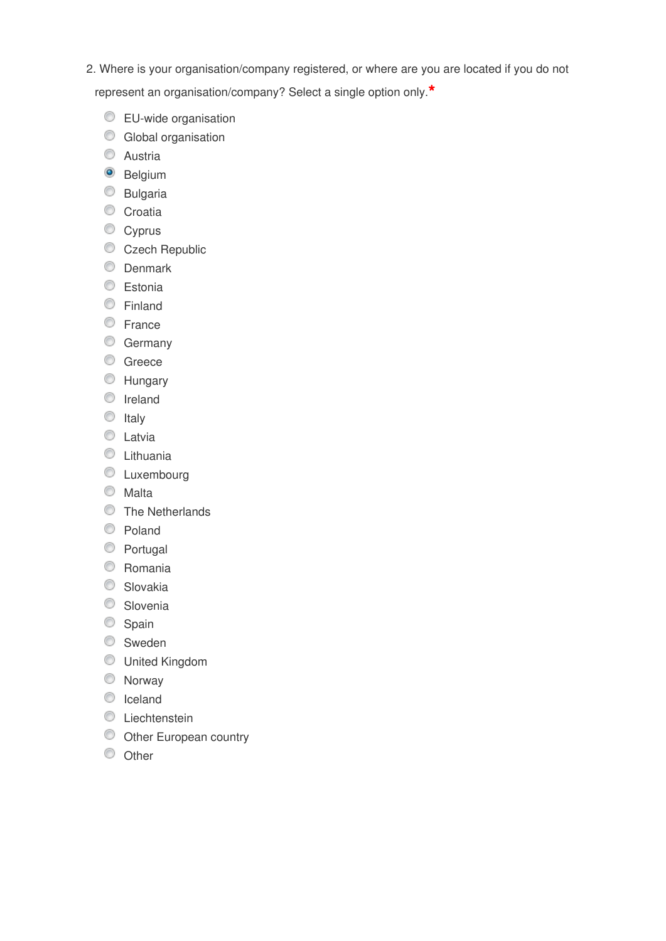2. Where is your organisation/company registered, or where are you are located if you do not

represent an organisation/company? Select a single option only.**\***

- **EU-wide organisation**
- C Global organisation
- C Austria
- <sup>O</sup> Belgium
- C Bulgaria
- Croatia
- Cyprus
- Czech Republic
- **Denmark**
- **Estonia**
- **Einland**
- C France
- **Germany**
- C Greece
- **Hungary**
- <sup>O</sup> Ireland
- $\circ$  Italy
- **C** Latvia
- **C** Lithuania
- **C** Luxembourg
- Malta
- **The Netherlands**
- C Poland
- **Portugal**
- Romania
- C Slovakia
- Slovenia
- Spain
- Sweden
- United Kingdom
- Norway
- C Iceland
- C Liechtenstein
- O Other European country
- C Other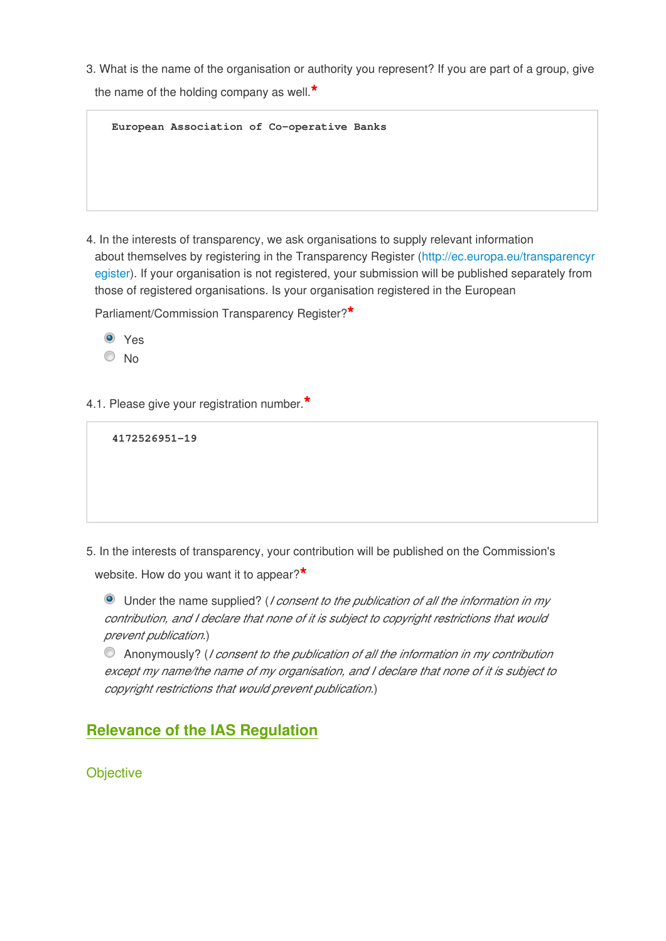3. What is the name of the organisation or authority you represent? If you are part of a group, give

the name of the holding company as well.**\***

**European Association of Co-operative Banks**

4. In the interests of transparency, we ask organisations to supply relevant information about themselves by registering in the Transparency Register (http://ec.europa.eu/transparencyr egister). If your organisation is not registered, your submission will be published separately from those of registered organisations. Is your organisation registered in the European

Parliament/Commission Transparency Register?**\***



4.1. Please give your registration number.**\***

```
4172526951-19
```
5. In the interests of transparency, your contribution will be published on the Commission's

website. How do you want it to appear?**\***

Under the name supplied? (*I consent to the publication of all the information in my contribution, and I declare that none of it is subject to copyright restrictions that would prevent publication*.)

Anonymously? (*I consent to the publication of all the information in my contribution except my name/the name of my organisation, and I declare that none of it is subject to copyright restrictions that would prevent publication.*)

# **Relevance of the IAS Regulation**

**Objective**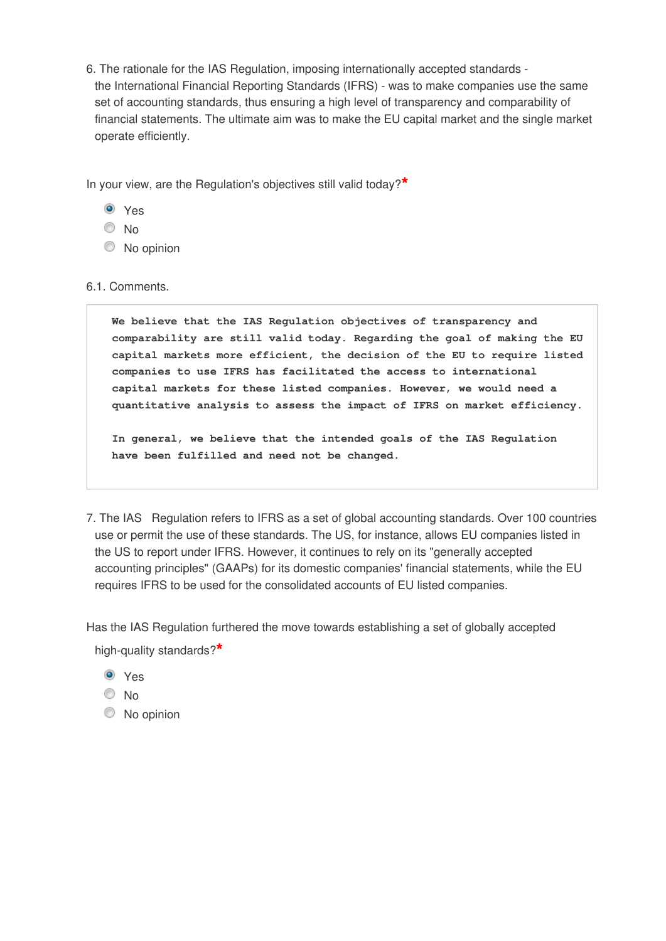6. The rationale for the IAS Regulation, imposing internationally accepted standards the International Financial Reporting Standards (IFRS) - was to make companies use the same set of accounting standards, thus ensuring a high level of transparency and comparability of financial statements. The ultimate aim was to make the EU capital market and the single market operate efficiently.

In your view, are the Regulation's objectives still valid today?**\***

- Yes
- <sup>O</sup>No
- C No opinion

### 6.1. Comments.

**We believe that the IAS Regulation objectives of transparency and comparability are still valid today. Regarding the goal of making the EU capital markets more efficient, the decision of the EU to require listed companies to use IFRS has facilitated the access to international capital markets for these listed companies. However, we would need a quantitative analysis to assess the impact of IFRS on market efficiency.**

**In general, we believe that the intended goals of the IAS Regulation have been fulfilled and need not be changed.**

7. The IAS Regulation refers to IFRS as a set of global accounting standards. Over 100 countries use or permit the use of these standards. The US, for instance, allows EU companies listed in the US to report under IFRS. However, it continues to rely on its "generally accepted accounting principles" (GAAPs) for its domestic companies' financial statements, while the EU requires IFRS to be used for the consolidated accounts of EU listed companies.

Has the IAS Regulation furthered the move towards establishing a set of globally accepted high-quality standards?**\***

- Yes
- $\odot$  No
- C No opinion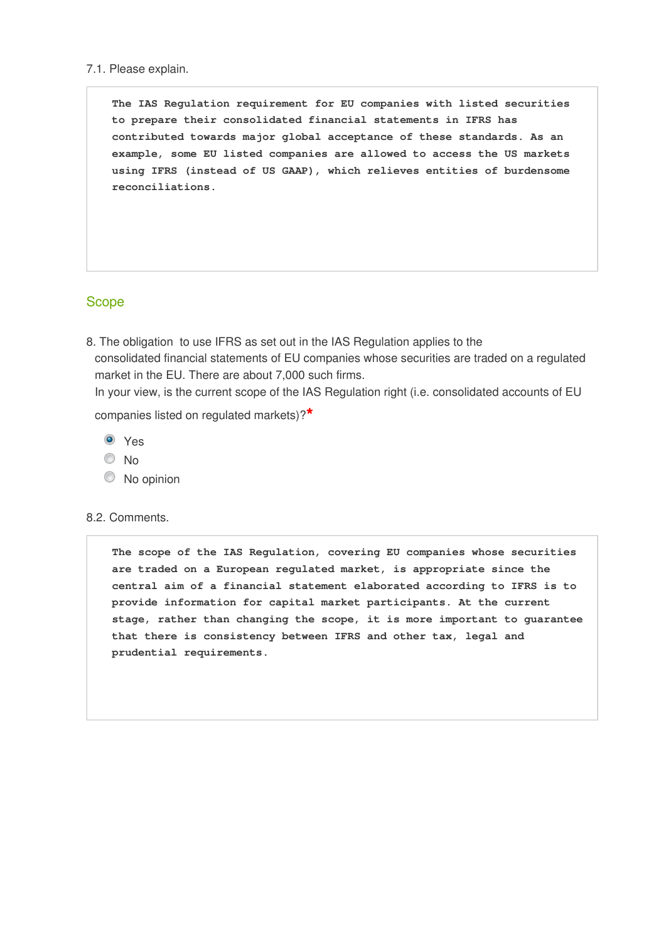#### 7.1. Please explain.

**The IAS Regulation requirement for EU companies with listed securities to prepare their consolidated financial statements in IFRS has contributed towards major global acceptance of these standards. As an example, some EU listed companies are allowed to access the US markets using IFRS (instead of US GAAP), which relieves entities of burdensome reconciliations.**

### Scope

8. The obligation to use IFRS as set out in the IAS Regulation applies to the consolidated financial statements of EU companies whose securities are traded on a regulated market in the EU. There are about 7,000 such firms.

In your view, is the current scope of the IAS Regulation right (i.e. consolidated accounts of EU

companies listed on regulated markets)?**\***

- Yes
- $\odot$  No
- $\circledcirc$  No opinion

#### 8.2. Comments.

**The scope of the IAS Regulation, covering EU companies whose securities are traded on a European regulated market, is appropriate since the central aim of a financial statement elaborated according to IFRS is to provide information for capital market participants. At the current stage, rather than changing the scope, it is more important to guarantee that there is consistency between IFRS and other tax, legal and prudential requirements.**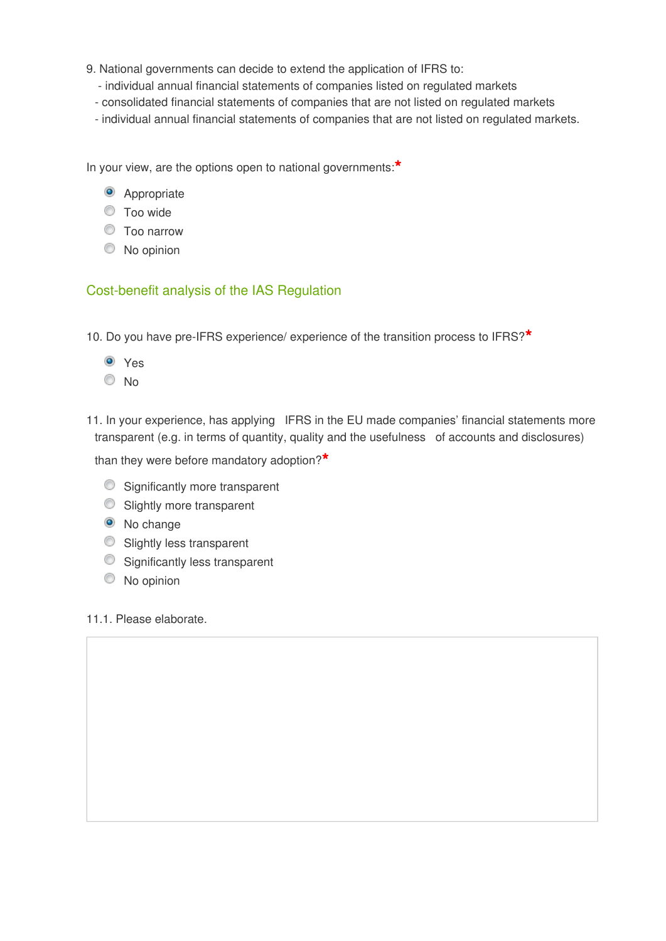- 9. National governments can decide to extend the application of IFRS to:
	- individual annual financial statements of companies listed on regulated markets
	- consolidated financial statements of companies that are not listed on regulated markets
	- individual annual financial statements of companies that are not listed on regulated markets.

In your view, are the options open to national governments:**\***

- <sup>O</sup> Appropriate
- Too wide
- Too narrow
- $\bullet$  No opinion

### Cost-benefit analysis of the IAS Regulation

- 10. Do you have pre-IFRS experience/ experience of the transition process to IFRS?**\***
	- Yes
	- No
- 11. In your experience, has applying IFRS in the EU made companies' financial statements more transparent (e.g. in terms of quantity, quality and the usefulness of accounts and disclosures)

than they were before mandatory adoption?**\***

- Significantly more transparent
- Slightly more transparent
- <sup>O</sup> No change
- **Slightly less transparent**
- Significantly less transparent
- C No opinion

### 11.1. Please elaborate.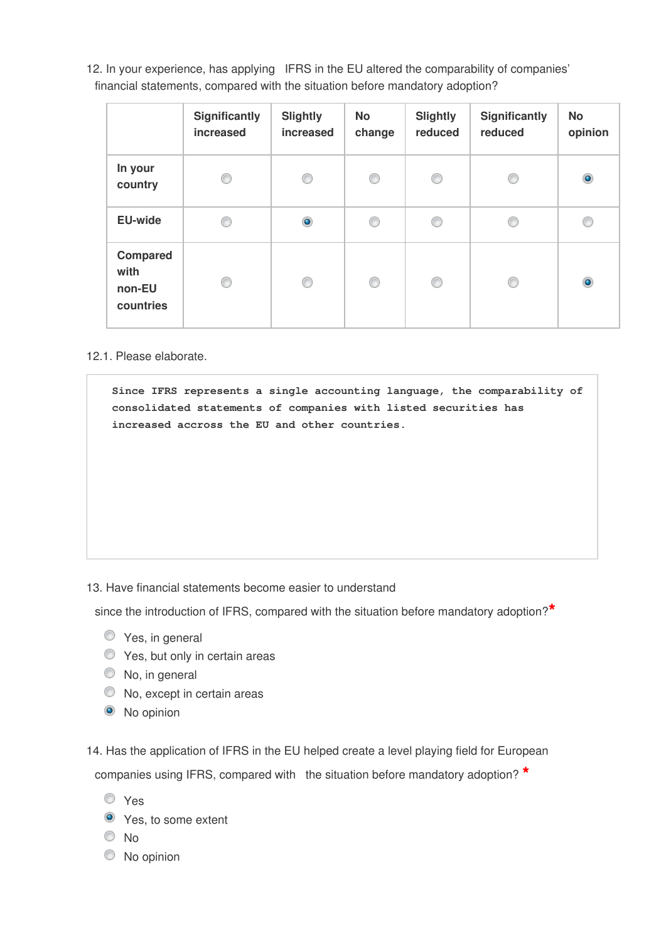12. In your experience, has applying IFRS in the EU altered the comparability of companies' financial statements, compared with the situation before mandatory adoption?

|                                                | Significantly<br>increased | <b>Slightly</b><br>increased | <b>No</b><br>change | <b>Slightly</b><br>reduced | Significantly<br>reduced | <b>No</b><br>opinion |
|------------------------------------------------|----------------------------|------------------------------|---------------------|----------------------------|--------------------------|----------------------|
| In your<br>country                             | ⊙                          | ⊙                            | ⊙                   | O                          | C                        | $\bullet$            |
| <b>EU-wide</b>                                 | ∩                          | $\bullet$                    | O                   | ⊙                          | C                        | C                    |
| <b>Compared</b><br>with<br>non-EU<br>countries | ∩                          | ⊙                            | ⊙                   | O                          | C                        | $\bullet$            |

12.1. Please elaborate.

**Since IFRS represents a single accounting language, the comparability of consolidated statements of companies with listed securities has increased accross the EU and other countries.**

13. Have financial statements become easier to understand

since the introduction of IFRS, compared with the situation before mandatory adoption?**\***

- $\bullet$  Yes, in general
- **O** Yes, but only in certain areas
- $\circledcirc$  No, in general
- $\bullet$  No, except in certain areas
- <sup>O</sup> No opinion

14. Has the application of IFRS in the EU helped create a level playing field for European companies using IFRS, compared with the situation before mandatory adoption? **\***

- Yes
- **O** Yes, to some extent
- $\odot$  No
- $\bullet$  No opinion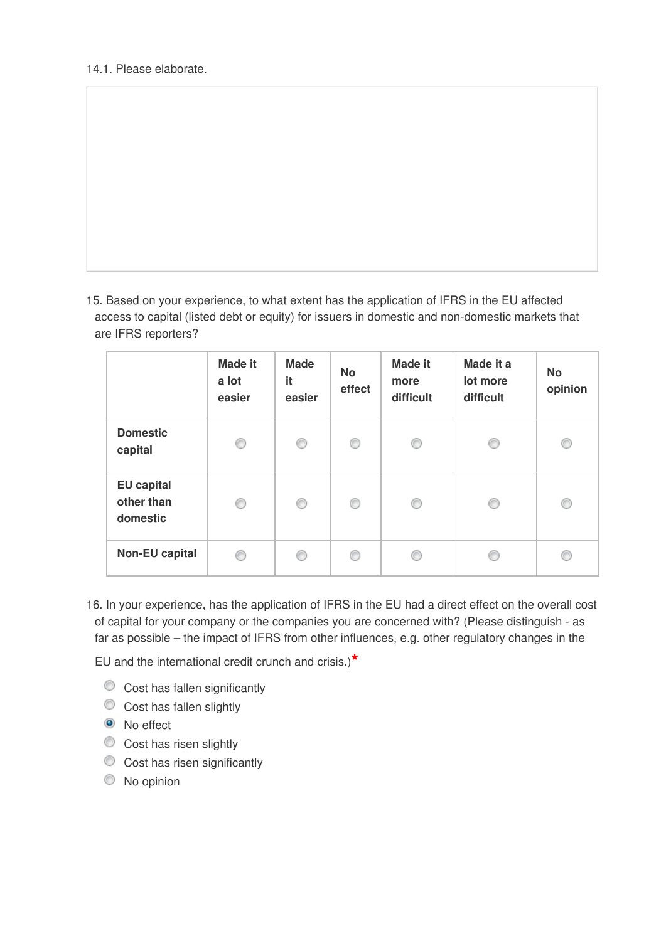15. Based on your experience, to what extent has the application of IFRS in the EU affected access to capital (listed debt or equity) for issuers in domestic and non-domestic markets that are IFRS reporters?

|                                             | <b>Made it</b><br>a lot<br>easier | <b>Made</b><br>it<br>easier | <b>No</b><br>effect | <b>Made it</b><br>more<br>difficult | Made it a<br>lot more<br>difficult | <b>No</b><br>opinion |
|---------------------------------------------|-----------------------------------|-----------------------------|---------------------|-------------------------------------|------------------------------------|----------------------|
| <b>Domestic</b><br>capital                  | 0                                 | ⊙                           | 0                   | ⊙                                   | €                                  | €                    |
| <b>EU</b> capital<br>other than<br>domestic | 0                                 | ⊙                           | ⊙                   | ⊙                                   | ⋒                                  | €                    |
| <b>Non-EU capital</b>                       | ⋒                                 | ∩                           | ⋒                   | C                                   |                                    |                      |

16. In your experience, has the application of IFRS in the EU had a direct effect on the overall cost of capital for your company or the companies you are concerned with? (Please distinguish - as far as possible – the impact of IFRS from other influences, e.g. other regulatory changes in the

EU and the international credit crunch and crisis.)**\***

- $\bullet$  Cost has fallen significantly
- Cost has fallen slightly
- <sup>O</sup> No effect
- Cost has risen slightly
- Cost has risen significantly
- $\circledcirc$  No opinion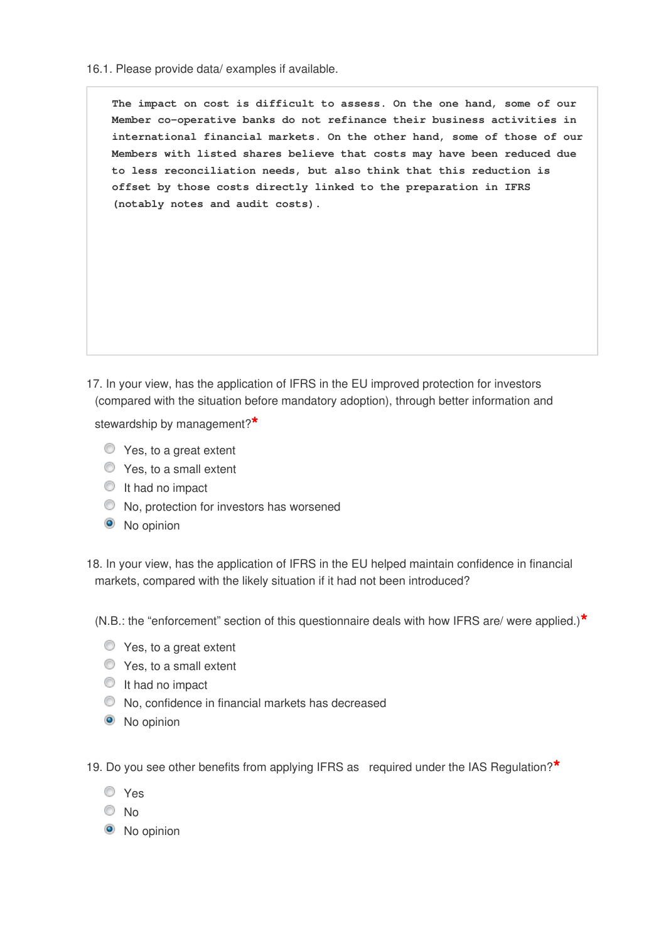16.1. Please provide data/ examples if available.

**The impact on cost is difficult to assess. On the one hand, some of our Member co-operative banks do not refinance their business activities in international financial markets. On the other hand, some of those of our Members with listed shares believe that costs may have been reduced due to less reconciliation needs, but also think that this reduction is offset by those costs directly linked to the preparation in IFRS (notably notes and audit costs).**

17. In your view, has the application of IFRS in the EU improved protection for investors (compared with the situation before mandatory adoption), through better information and

stewardship by management?**\***

- $\bullet$  Yes, to a great extent
- $\bullet$  Yes, to a small extent
- It had no impact
- $\bullet$  No, protection for investors has worsened
- <sup>O</sup> No opinion

18. In your view, has the application of IFRS in the EU helped maintain confidence in financial markets, compared with the likely situation if it had not been introduced?

(N.B.: the "enforcement" section of this questionnaire deals with how IFRS are/ were applied.)**\***

- $\bullet$  Yes, to a great extent
- $\bullet$  Yes, to a small extent
- **It had no impact**
- No, confidence in financial markets has decreased
- <sup>O</sup> No opinion

19. Do you see other benefits from applying IFRS as required under the IAS Regulation?**\***

- Yes
- © No
- <sup>O</sup> No opinion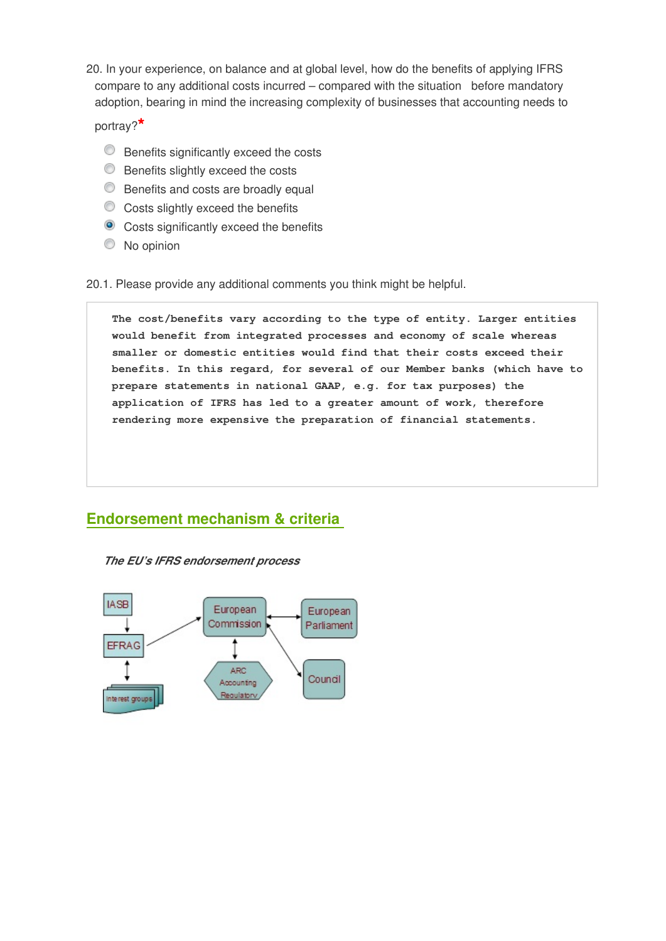20. In your experience, on balance and at global level, how do the benefits of applying IFRS compare to any additional costs incurred – compared with the situation before mandatory adoption, bearing in mind the increasing complexity of businesses that accounting needs to

portray?**\***

- **Benefits significantly exceed the costs**
- **Benefits slightly exceed the costs**
- **Benefits and costs are broadly equal**
- $\circ$  Costs slightly exceed the benefits
- **Costs significantly exceed the benefits**
- No opinion

20.1. Please provide any additional comments you think might be helpful.

**The cost/benefits vary according to the type of entity. Larger entities would benefit from integrated processes and economy of scale whereas smaller or domestic entities would find that their costs exceed their benefits. In this regard, for several of our Member banks (which have to prepare statements in national GAAP, e.g. for tax purposes) the application of IFRS has led to a greater amount of work, therefore rendering more expensive the preparation of financial statements.**

## **Endorsement mechanism & criteria**

*The EU's IFRS endorsement process*

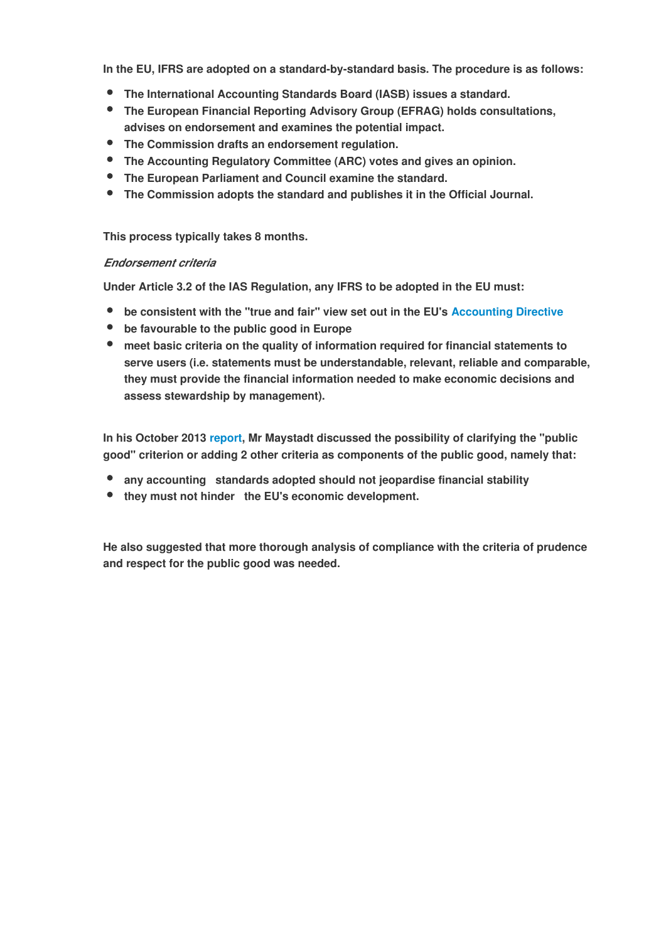**In the EU, IFRS are adopted on a standard-by-standard basis. The procedure is as follows:**

- **The International Accounting Standards Board (IASB) issues a standard.**
- **The European Financial Reporting Advisory Group (EFRAG) holds consultations, advises on endorsement and examines the potential impact.**
- **The Commission drafts an endorsement regulation.**
- **The Accounting Regulatory Committee (ARC) votes and gives an opinion.**
- **The European Parliament and Council examine the standard.**
- **The Commission adopts the standard and publishes it in the Official Journal.**

**This process typically takes 8 months.**

#### *Endorsement criteria*

**Under Article 3.2 of the IAS Regulation, any IFRS to be adopted in the EU must:**

- **be consistent with the "true and fair" view set out in the EU's [Accounting Directive](http://eur-lex.europa.eu/legal-content/EN/TXT/?uri=CELEX:32013L0034)**
- **be favourable to the public good in Europe**
- **meet basic criteria on the quality of information required for financial statements to serve users (i.e. statements must be understandable, relevant, reliable and comparable, they must provide the financial information needed to make economic decisions and assess stewardship by management).**

**In his October 2013 report, Mr Maystadt discussed the possibility of clarifying the "public good" criterion or adding 2 other criteria as components of the public good, namely that:**

- **any accounting standards adopted should not jeopardise financial stability**
- **they must not hinder the EU's economic development.**

**He also suggested that more thorough analysis of compliance with the criteria of prudence and respect for the public good was needed.**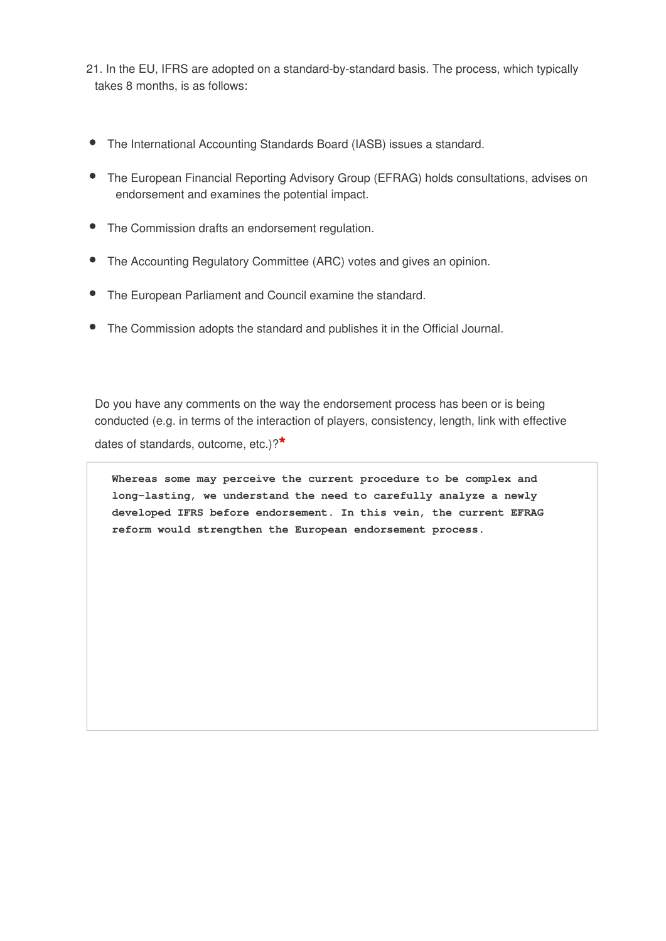- 21. In the EU, IFRS are adopted on a standard-by-standard basis. The process, which typically takes 8 months, is as follows:
- The International Accounting Standards Board (IASB) issues a standard.
- The European Financial Reporting Advisory Group (EFRAG) holds consultations, advises on endorsement and examines the potential impact.
- The Commission drafts an endorsement regulation.
- The Accounting Regulatory Committee (ARC) votes and gives an opinion.
- The European Parliament and Council examine the standard.
- The Commission adopts the standard and publishes it in the Official Journal.

Do you have any comments on the way the endorsement process has been or is being conducted (e.g. in terms of the interaction of players, consistency, length, link with effective

dates of standards, outcome, etc.)?**\***

**Whereas some may perceive the current procedure to be complex and long-lasting, we understand the need to carefully analyze a newly developed IFRS before endorsement. In this vein, the current EFRAG reform would strengthen the European endorsement process.**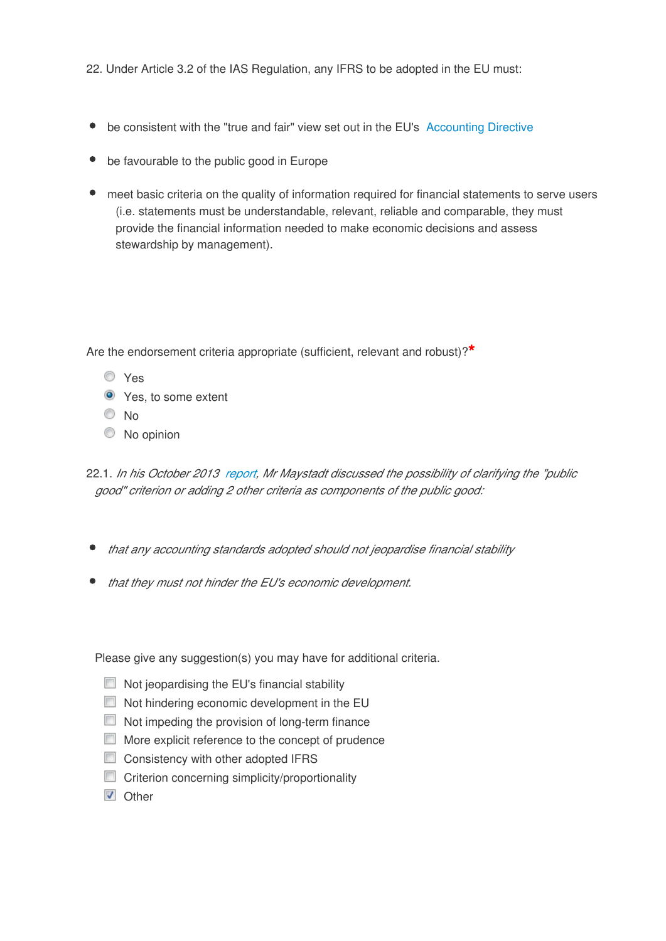22. Under Article 3.2 of the IAS Regulation, any IFRS to be adopted in the EU must:

- be consistent with the "true and fair" view set out in the EU's [Accounting Directive](http://eur-lex.europa.eu/legal-content/EN/TXT/?uri=CELEX:32013L0034)
- be favourable to the public good in Europe
- meet basic criteria on the quality of information required for financial statements to serve users (i.e. statements must be understandable, relevant, reliable and comparable, they must provide the financial information needed to make economic decisions and assess stewardship by management).

Are the endorsement criteria appropriate (sufficient, relevant and robust)?**\***

- Yes
- **O** Yes, to some extent
- $\odot$  No
- $\circledcirc$  No opinion
- 22.1. *In his October 2013 report, Mr Maystadt discussed the possibility of clarifying the "public good" criterion or adding 2 other criteria as components of the public good:*
- *that any accounting standards adopted should not jeopardise financial stability*
- *that they must not hinder the EU's economic development.*

Please give any suggestion(s) you may have for additional criteria.

- $\Box$  Not jeopardising the EU's financial stability
- Not hindering economic development in the EU
- $\Box$  Not impeding the provision of long-term finance
- **More explicit reference to the concept of prudence**
- Consistency with other adopted IFRS
- Criterion concerning simplicity/proportionality
- **V** Other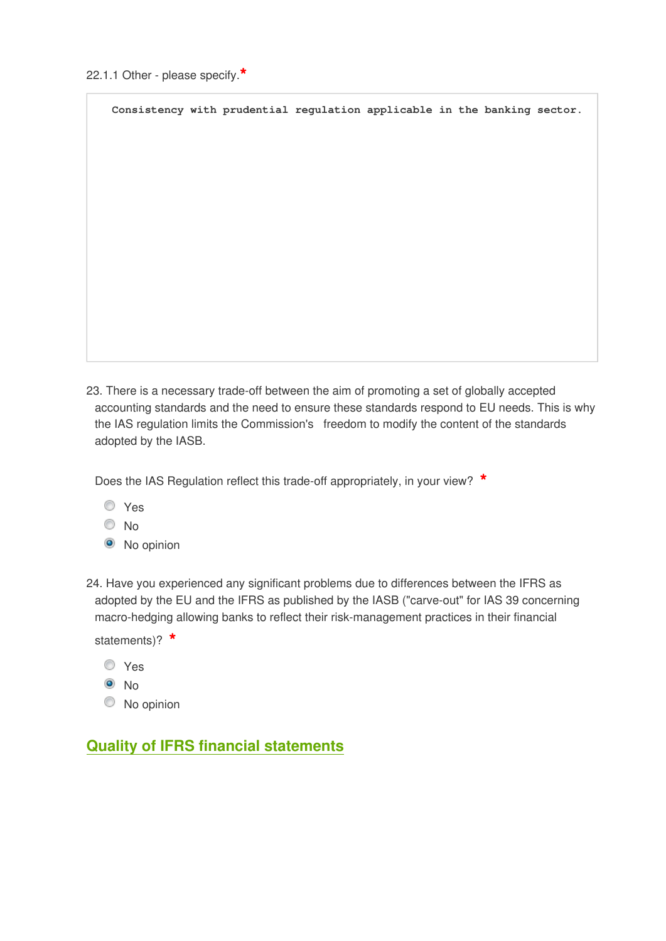**Consistency with prudential regulation applicable in the banking sector.**

23. There is a necessary trade-off between the aim of promoting a set of globally accepted accounting standards and the need to ensure these standards respond to EU needs. This is why the IAS regulation limits the Commission's freedom to modify the content of the standards adopted by the IASB.

Does the IAS Regulation reflect this trade-off appropriately, in your view? **\***

- Yes
- <sup>O</sup>No
- <sup>O</sup> No opinion

24. Have you experienced any significant problems due to differences between the IFRS as adopted by the EU and the IFRS as published by the IASB ("carve-out" for IAS 39 concerning macro-hedging allowing banks to reflect their risk-management practices in their financial

statements)? **\***

- Yes
- $\odot$  No
- $\circledcirc$  No opinion

# **Quality of IFRS financial statements**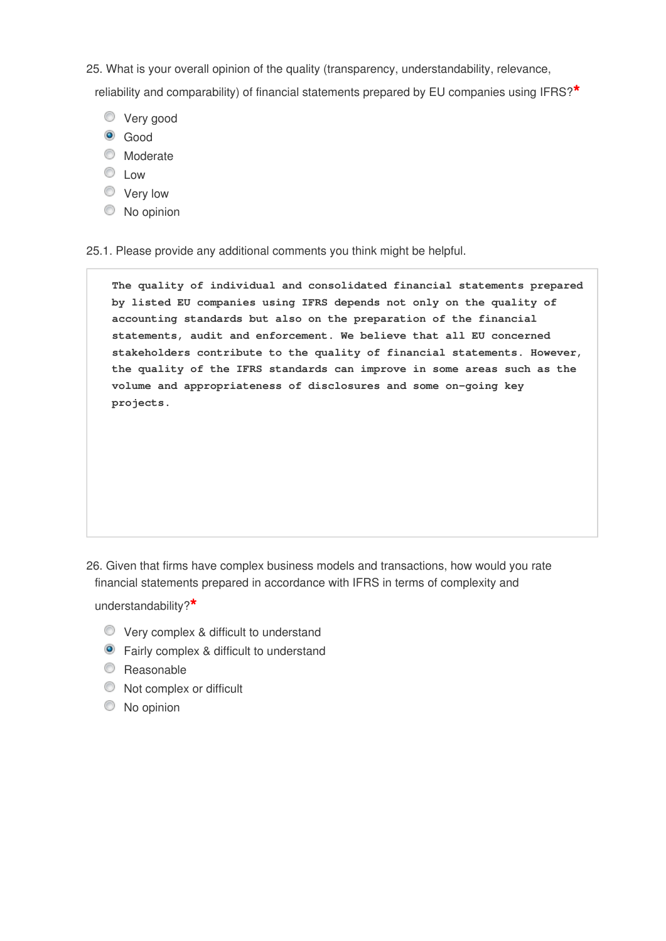25. What is your overall opinion of the quality (transparency, understandability, relevance,

reliability and comparability) of financial statements prepared by EU companies using IFRS?**\***

- **Very good**
- <sup>o</sup> Good
- **Moderate**
- C Low
- **Very low**
- $\bullet$  No opinion

25.1. Please provide any additional comments you think might be helpful.

**The quality of individual and consolidated financial statements prepared by listed EU companies using IFRS depends not only on the quality of accounting standards but also on the preparation of the financial statements, audit and enforcement. We believe that all EU concerned stakeholders contribute to the quality of financial statements. However, the quality of the IFRS standards can improve in some areas such as the volume and appropriateness of disclosures and some on-going key projects.**

26. Given that firms have complex business models and transactions, how would you rate financial statements prepared in accordance with IFRS in terms of complexity and

understandability?**\***

- Very complex & difficult to understand
- **•** Fairly complex & difficult to understand
- C Reasonable
- $\bullet$  Not complex or difficult
- C No opinion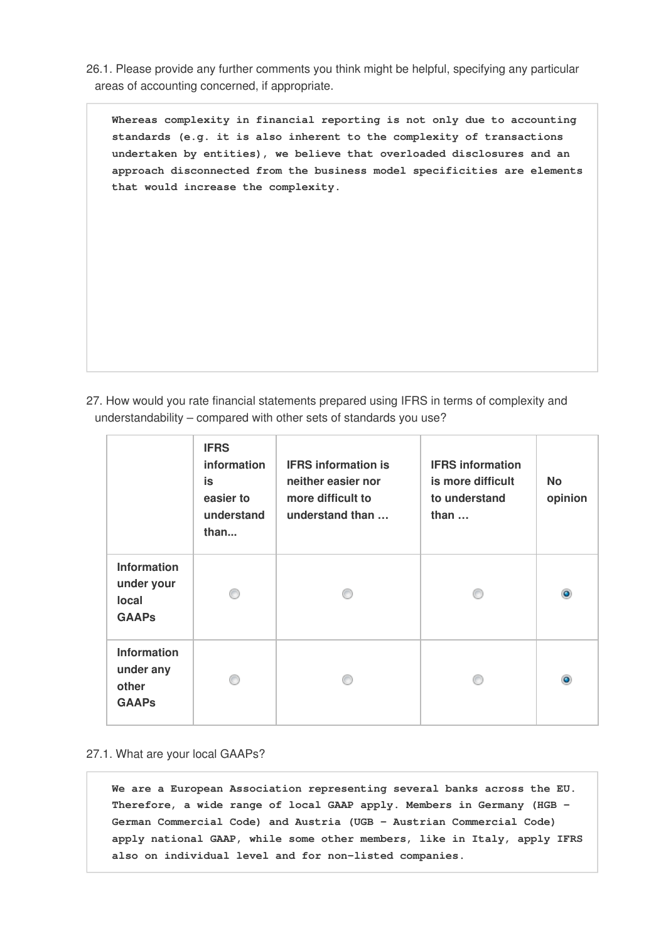26.1. Please provide any further comments you think might be helpful, specifying any particular areas of accounting concerned, if appropriate.

**Whereas complexity in financial reporting is not only due to accounting standards (e.g. it is also inherent to the complexity of transactions undertaken by entities), we believe that overloaded disclosures and an approach disconnected from the business model specificities are elements that would increase the complexity.**

27. How would you rate financial statements prepared using IFRS in terms of complexity and understandability – compared with other sets of standards you use?

|                                                           | <b>IFRS</b><br>information<br>is<br>easier to<br>understand<br>than | <b>IFRS information is</b><br>neither easier nor<br>more difficult to<br>understand than | <b>IFRS</b> information<br>is more difficult<br>to understand<br>than $\dots$ | <b>No</b><br>opinion |
|-----------------------------------------------------------|---------------------------------------------------------------------|------------------------------------------------------------------------------------------|-------------------------------------------------------------------------------|----------------------|
| <b>Information</b><br>under your<br>local<br><b>GAAPs</b> |                                                                     |                                                                                          |                                                                               | ۰                    |
| <b>Information</b><br>under any<br>other<br><b>GAAPs</b>  |                                                                     |                                                                                          |                                                                               | $\bullet$            |

#### 27.1. What are your local GAAPs?

**We are a European Association representing several banks across the EU. Therefore, a wide range of local GAAP apply. Members in Germany (HGB - German Commercial Code) and Austria (UGB - Austrian Commercial Code) apply national GAAP, while some other members, like in Italy, apply IFRS also on individual level and for non-listed companies.**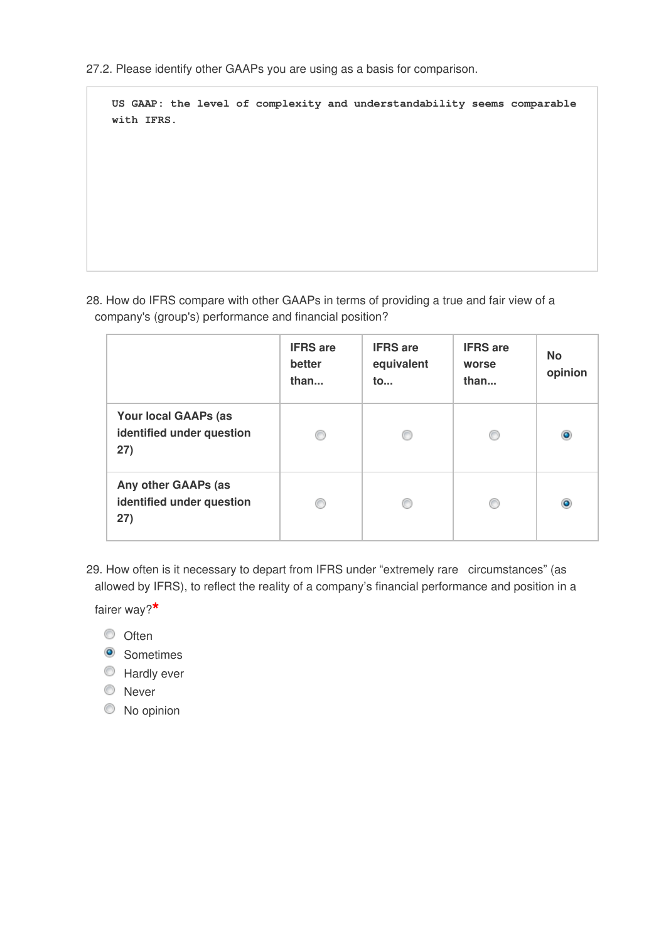27.2. Please identify other GAAPs you are using as a basis for comparison.

**US GAAP: the level of complexity and understandability seems comparable with IFRS.**

28. How do IFRS compare with other GAAPs in terms of providing a true and fair view of a company's (group's) performance and financial position?

|                                                                 | <b>IFRS</b> are<br>better<br>than | <b>IFRS</b> are<br>equivalent<br>to | <b>IFRS</b> are<br>worse<br>than | <b>No</b><br>opinion |
|-----------------------------------------------------------------|-----------------------------------|-------------------------------------|----------------------------------|----------------------|
| <b>Your local GAAPs (as</b><br>identified under question<br>27) | €                                 |                                     |                                  | ۰                    |
| Any other GAAPs (as<br>identified under question<br>27)         | O                                 |                                     |                                  | ۰                    |

29. How often is it necessary to depart from IFRS under "extremely rare circumstances" (as allowed by IFRS), to reflect the reality of a company's financial performance and position in a

fairer way?**\***

- © Often
- <sup>O</sup> Sometimes
- **Hardly ever**
- **O** Never
- $\circledcirc$  No opinion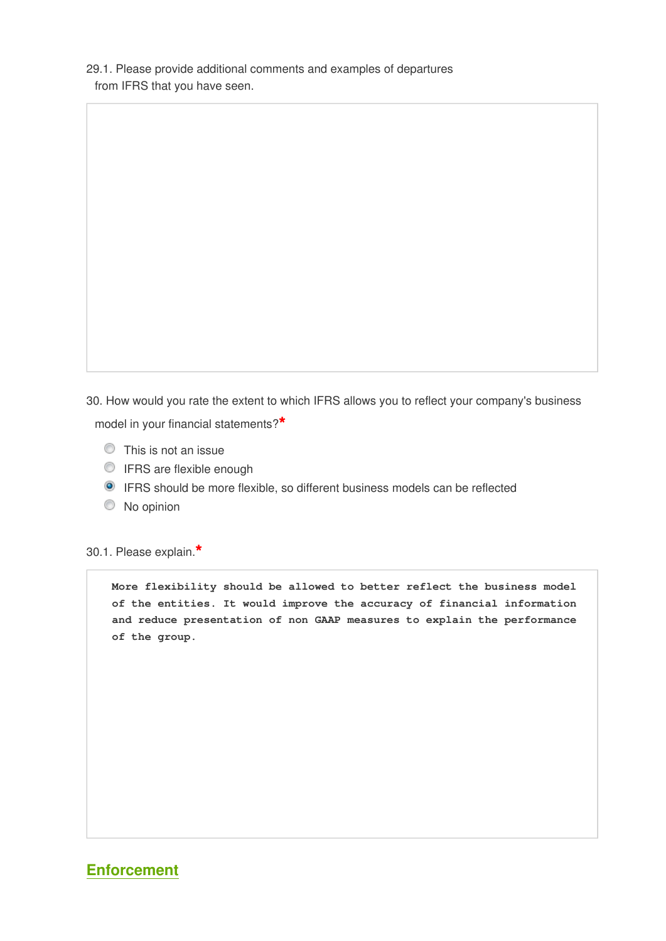29.1. Please provide additional comments and examples of departures from IFRS that you have seen.

30. How would you rate the extent to which IFRS allows you to reflect your company's business model in your financial statements?**\***

- This is not an issue
- **IFRS** are flexible enough
- IFRS should be more flexible, so different business models can be reflected
- $\bullet$  No opinion

30.1. Please explain.**\***

**More flexibility should be allowed to better reflect the business model of the entities. It would improve the accuracy of financial information and reduce presentation of non GAAP measures to explain the performance of the group.** 

### **Enforcement**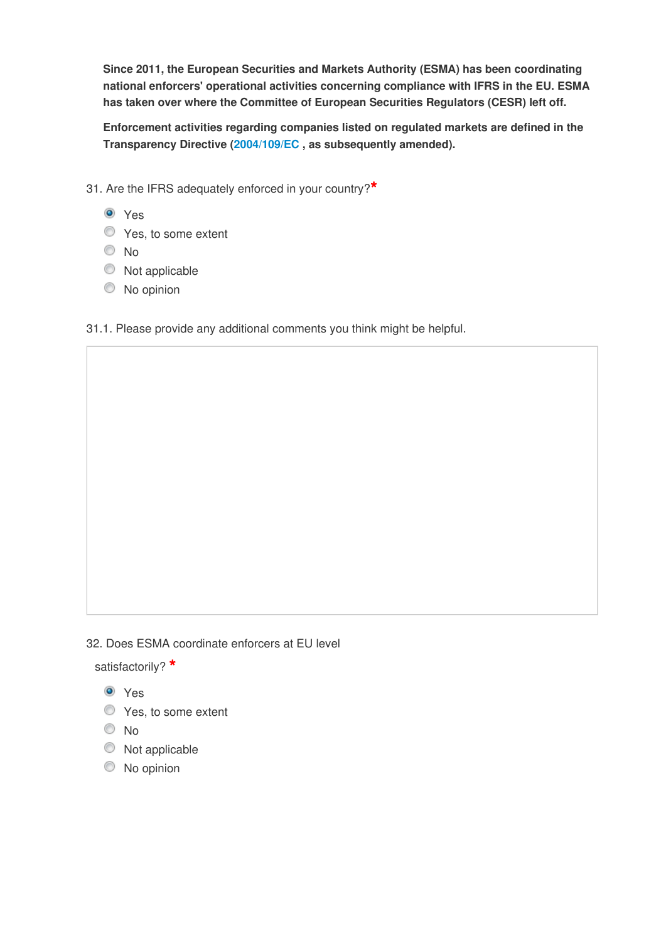**Since 2011, the European Securities and Markets Authority (ESMA) has been coordinating national enforcers' operational activities concerning compliance with IFRS in the EU. ESMA has taken over where the Committee of European Securities Regulators (CESR) left off.**

**Enforcement activities regarding companies listed on regulated markets are defined in the Transparency Directive (2004/109/EC , as subsequently amended).**

- 31. Are the IFRS adequately enforced in your country?**\***
	- Yes
	- **Yes**, to some extent
	- No
	- $\bullet$  Not applicable
	- $\circledcirc$  No opinion

31.1. Please provide any additional comments you think might be helpful.

32. Does ESMA coordinate enforcers at EU level

satisfactorily? **\***

**O** Yes

- **Yes**, to some extent
- No
- $\bullet$  Not applicable
- $\circledcirc$  No opinion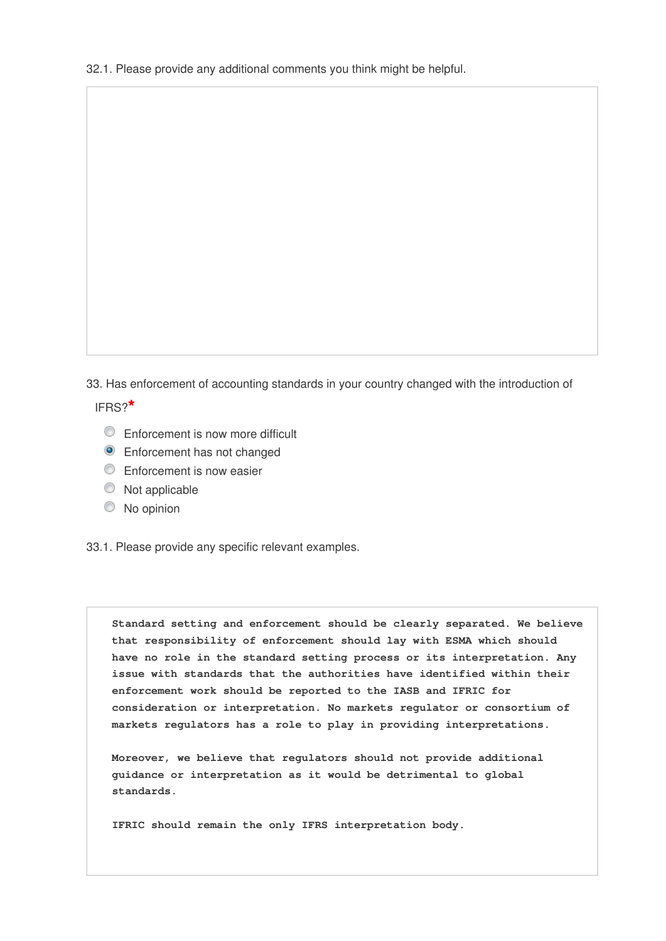33. Has enforcement of accounting standards in your country changed with the introduction of IFRS?**\***

- Enforcement is now more difficult
- **O** Enforcement has not changed
- **Enforcement is now easier**
- $\circledcirc$  Not applicable
- C No opinion

33.1. Please provide any specific relevant examples.

**Standard setting and enforcement should be clearly separated. We believe that responsibility of enforcement should lay with ESMA which should have no role in the standard setting process or its interpretation. Any issue with standards that the authorities have identified within their enforcement work should be reported to the IASB and IFRIC for consideration or interpretation. No markets regulator or consortium of markets regulators has a role to play in providing interpretations.**

**Moreover, we believe that regulators should not provide additional guidance or interpretation as it would be detrimental to global standards.**

**IFRIC should remain the only IFRS interpretation body.**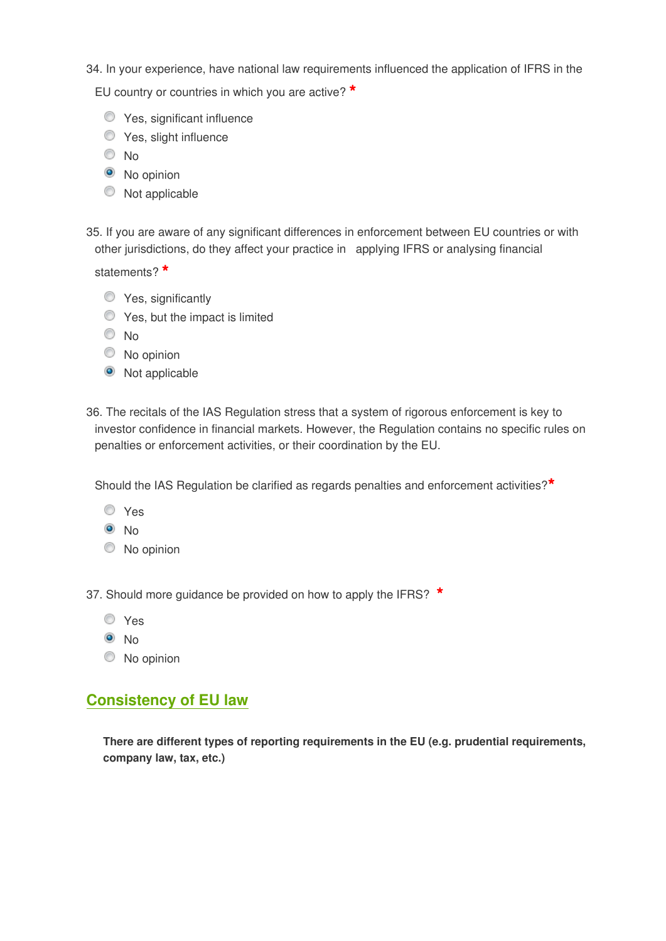34. In your experience, have national law requirements influenced the application of IFRS in the

EU country or countries in which you are active? **\***

- **Yes, significant influence**
- **S** Yes, slight influence
- <sup>O</sup>No
- <sup>O</sup> No opinion
- $\bullet$  Not applicable
- 35. If you are aware of any significant differences in enforcement between EU countries or with other jurisdictions, do they affect your practice in applying IFRS or analysing financial

statements? **\***

- **Yes, significantly**
- **O** Yes, but the impact is limited
- No
- $\circledcirc$  No opinion
- Not applicable
- 36. The recitals of the IAS Regulation stress that a system of rigorous enforcement is key to investor confidence in financial markets. However, the Regulation contains no specific rules on penalties or enforcement activities, or their coordination by the EU.

Should the IAS Regulation be clarified as regards penalties and enforcement activities?**\***

- Yes
- $\odot$  No
- $\circledcirc$  No opinion

37. Should more guidance be provided on how to apply the IFRS? **\***

- Yes
- <sup>O</sup>No
- $\circledcirc$  No opinion

# **Consistency of EU law**

**There are different types of reporting requirements in the EU (e.g. prudential requirements, company law, tax, etc.)**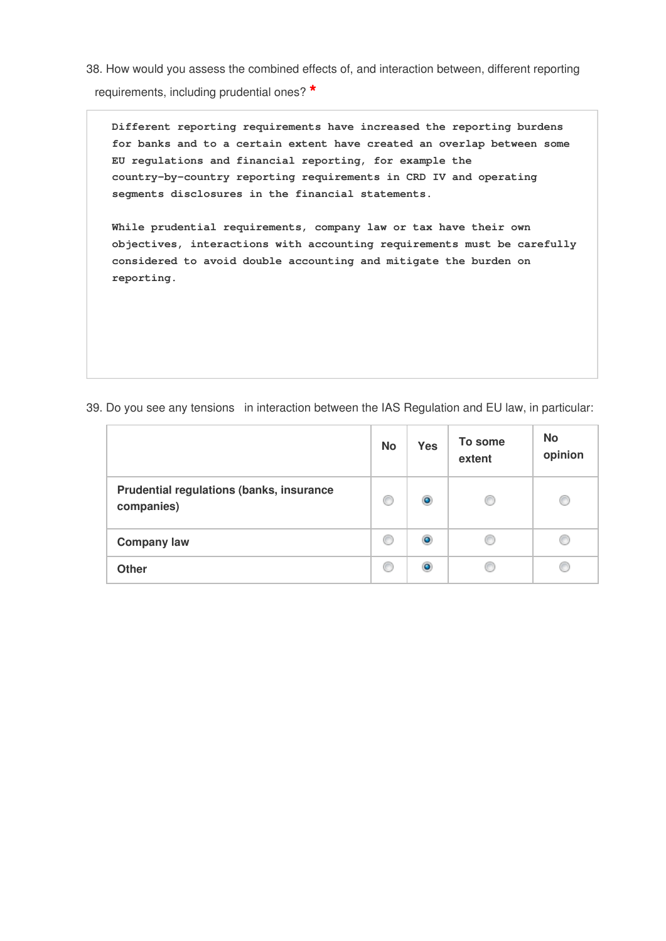38. How would you assess the combined effects of, and interaction between, different reporting requirements, including prudential ones? **\***

**Different reporting requirements have increased the reporting burdens for banks and to a certain extent have created an overlap between some EU regulations and financial reporting, for example the country-by-country reporting requirements in CRD IV and operating segments disclosures in the financial statements.**

**While prudential requirements, company law or tax have their own objectives, interactions with accounting requirements must be carefully considered to avoid double accounting and mitigate the burden on reporting.** 

39. Do you see any tensions in interaction between the IAS Regulation and EU law, in particular:

|                                                        | <b>No</b> | <b>Yes</b> | To some<br>extent | <b>No</b><br>opinion |
|--------------------------------------------------------|-----------|------------|-------------------|----------------------|
| Prudential regulations (banks, insurance<br>companies) | €         | $\bullet$  | O                 |                      |
| <b>Company law</b>                                     | C         | $\bullet$  | œ                 |                      |
| <b>Other</b>                                           | C         | $\bullet$  |                   |                      |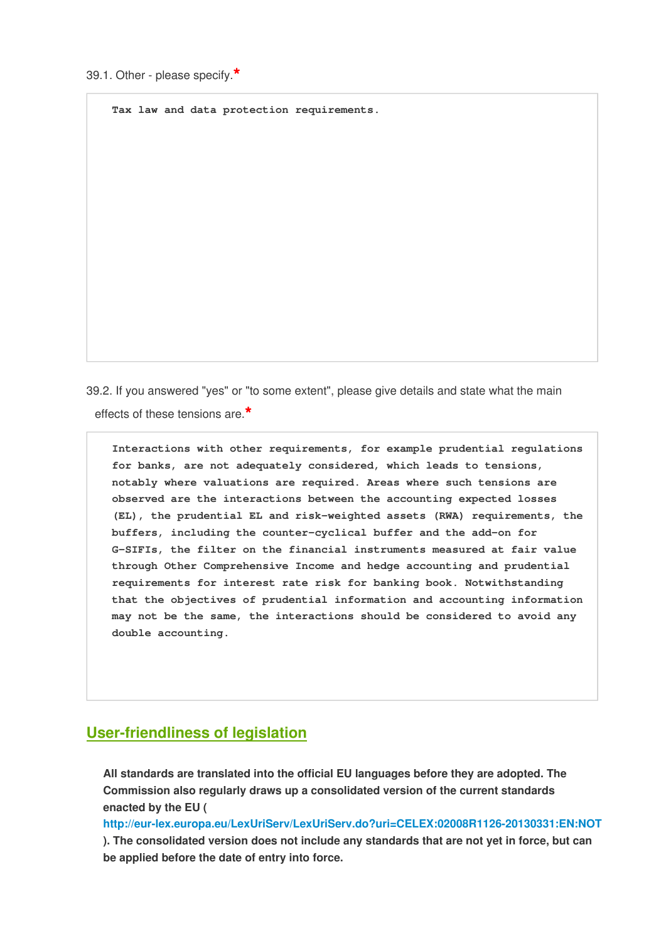**Tax law and data protection requirements.**

39.2. If you answered "yes" or "to some extent", please give details and state what the main effects of these tensions are.**\***

**Interactions with other requirements, for example prudential regulations for banks, are not adequately considered, which leads to tensions, notably where valuations are required. Areas where such tensions are observed are the interactions between the accounting expected losses (EL), the prudential EL and risk-weighted assets (RWA) requirements, the buffers, including the counter-cyclical buffer and the add-on for G-SIFIs, the filter on the financial instruments measured at fair value through Other Comprehensive Income and hedge accounting and prudential requirements for interest rate risk for banking book. Notwithstanding that the objectives of prudential information and accounting information may not be the same, the interactions should be considered to avoid any double accounting.**

## **User-friendliness of legislation**

**All standards are translated into the official EU languages before they are adopted. The Commission also regularly draws up a consolidated version of the current standards enacted by the EU (**

**<http://eur-lex.europa.eu/LexUriServ/LexUriServ.do?uri=CELEX:02008R1126-20130331:EN:NOT> ). The consolidated version does not include any standards that are not yet in force, but can be applied before the date of entry into force.**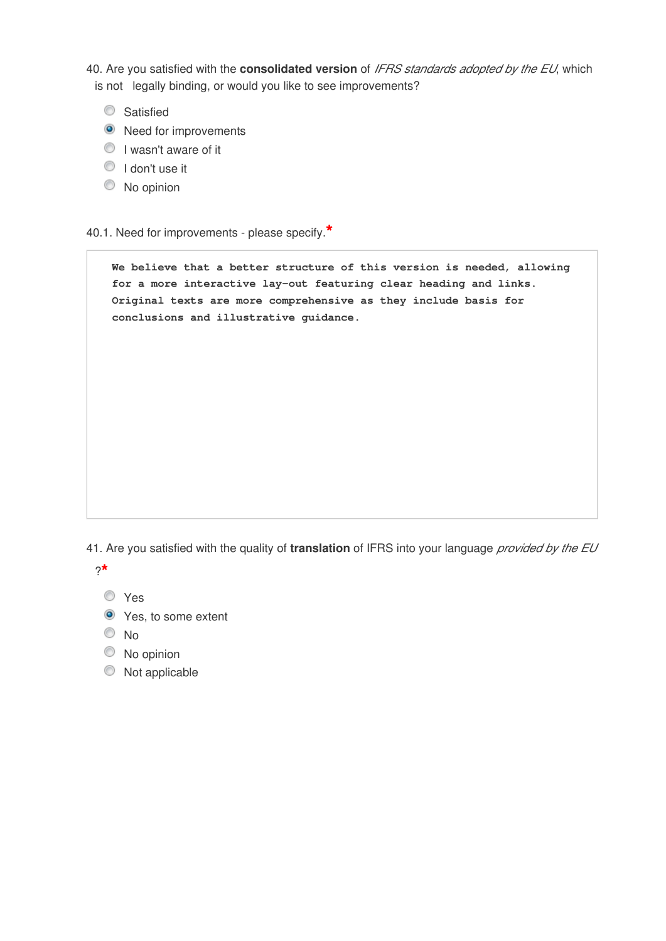40. Are you satisfied with the **consolidated version** of *IFRS standards adopted by the EU*, which is not legally binding, or would you like to see improvements?

- **Satisfied**
- <sup>O</sup> Need for improvements
- **I** wasn't aware of it
- $\bullet$  I don't use it
- $\circledcirc$  No opinion

### 40.1. Need for improvements - please specify.**\***

**We believe that a better structure of this version is needed, allowing for a more interactive lay-out featuring clear heading and links. Original texts are more comprehensive as they include basis for conclusions and illustrative guidance.** 

41. Are you satisfied with the quality of **translation** of IFRS into your language *provided by the EU*

?**\***

Yes

- **O** Yes, to some extent
- No
- $\circledcirc$  No opinion
- $\circledcirc$  Not applicable